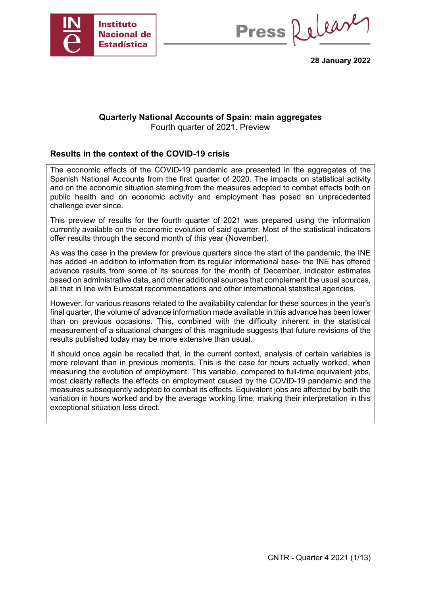

Press Release

**28 January 2022**

## **Quarterly National Accounts of Spain: main aggregates** Fourth quarter of 2021. Preview

# **Results in the context of the COVID-19 crisis**

The economic effects of the COVID-19 pandemic are presented in the aggregates of the Spanish National Accounts from the first quarter of 2020. The impacts on statistical activity and on the economic situation steming from the measures adopted to combat effects both on public health and on economic activity and employment has posed an unprecedented challenge ever since.

This preview of results for the fourth quarter of 2021 was prepared using the information currently available on the economic evolution of said quarter. Most of the statistical indicators offer results through the second month of this year (November).

As was the case in the preview for previous quarters since the start of the pandemic, the INE has added -in addition to information from its regular informational base- the INE has offered advance results from some of its sources for the month of December, indicator estimates based on administrative data, and other additional sources that complement the usual sources, all that in line with Eurostat recommendations and other international statistical agencies.

However, for various reasons related to the availability calendar for these sources in the year's final quarter, the volume of advance information made available in this advance has been lower than on previous occasions. This, combined with the difficulty inherent in the statistical measurement of a situational changes of this magnitude suggests that future revisions of the results published today may be more extensive than usual.

It should once again be recalled that, in the current context, analysis of certain variables is more relevant than in previous moments. This is the case for hours actually worked, when measuring the evolution of employment. This variable, compared to full-time equivalent jobs, most clearly reflects the effects on employment caused by the COVID-19 pandemic and the measures subsequently adopted to combat its effects. Equivalent jobs are affected by both the variation in hours worked and by the average working time, making their interpretation in this exceptional situation less direct.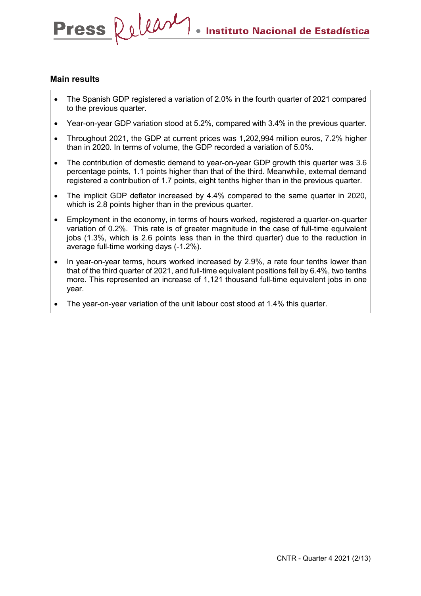# **Main results**

Press Relear

- The Spanish GDP registered a variation of 2.0% in the fourth quarter of 2021 compared to the previous quarter.
- Year-on-year GDP variation stood at 5.2%, compared with 3.4% in the previous quarter.
- Throughout 2021, the GDP at current prices was 1,202,994 million euros, 7.2% higher than in 2020. In terms of volume, the GDP recorded a variation of 5.0%.
- The contribution of domestic demand to year-on-year GDP growth this quarter was 3.6 percentage points, 1.1 points higher than that of the third. Meanwhile, external demand registered a contribution of 1.7 points, eight tenths higher than in the previous quarter.
- The implicit GDP deflator increased by 4.4% compared to the same quarter in 2020, which is 2.8 points higher than in the previous quarter.
- Employment in the economy, in terms of hours worked, registered a quarter-on-quarter variation of 0.2%. This rate is of greater magnitude in the case of full-time equivalent jobs (1.3%, which is 2.6 points less than in the third quarter) due to the reduction in average full-time working days (-1.2%).
- In year-on-year terms, hours worked increased by 2.9%, a rate four tenths lower than that of the third quarter of 2021, and full-time equivalent positions fell by 6.4%, two tenths more. This represented an increase of 1,121 thousand full-time equivalent jobs in one year.
- The year-on-year variation of the unit labour cost stood at 1.4% this quarter.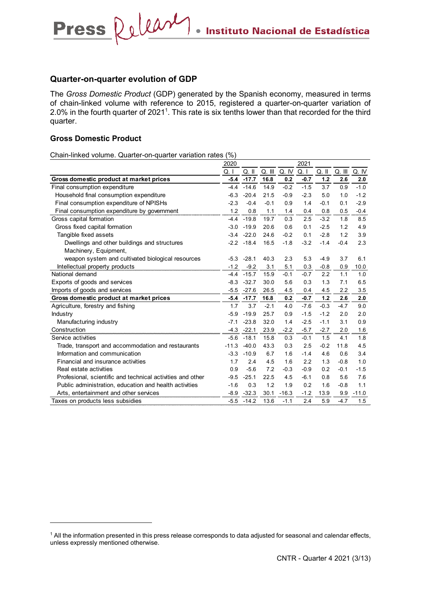# **Quarter-on-quarter evolution of GDP**

Press Release

The *Gross Domestic Product* (GDP) generated by the Spanish economy, measured in terms of chain-linked volume with reference to 2015, registered a quarter-on-quarter variation of 2.0% in the fourth quarter of 2021<sup>1</sup>. This rate is six tenths lower than that recorded for the third quarter.

# **Gross Domestic Product**

-

Chain-linked volume. Quarter-on-quarter variation rates (%)

|                                                            | 2020    |         |        |              | 2021   |           |        |              |
|------------------------------------------------------------|---------|---------|--------|--------------|--------|-----------|--------|--------------|
|                                                            | Q.1     | $Q.$ II |        | Q. III Q. IV | Q. I   | $Q.$ $  $ |        | Q. III Q. IV |
| Gross domestic product at market prices                    | $-5.4$  | $-17.7$ | 16.8   | 0.2          | $-0.7$ | 1.2       | 2.6    | 2.0          |
| Final consumption expenditure                              | $-4.4$  | $-14.6$ | 14.9   | $-0.2$       | $-1.5$ | 3.7       | 0.9    | $-1.0$       |
| Household final consumption expenditure                    | $-6.3$  | $-20.4$ | 21.5   | $-0.9$       | $-2.3$ | 5.0       | 1.0    | $-1.2$       |
| Final consumption expenditure of NPISHs                    | $-2.3$  | $-0.4$  | $-0.1$ | 0.9          | 1.4    | $-0.1$    | 0.1    | $-2.9$       |
| Final consumption expenditure by government                | 1.2     | 0.8     | 1.1    | 1.4          | 0.4    | 0.8       | 0.5    | $-0.4$       |
| Gross capital formation                                    | $-4.4$  | $-19.8$ | 19.7   | 0.3          | 2.5    | $-3.2$    | 1.8    | 8.5          |
| Gross fixed capital formation                              | $-3.0$  | $-19.9$ | 20.6   | 0.6          | 0.1    | $-2.5$    | 1.2    | 4.9          |
| Tangible fixed assets                                      | $-3.4$  | $-22.0$ | 24.6   | $-0.2$       | 0.1    | $-2.8$    | 1.2    | 3.9          |
| Dwellings and other buildings and structures               | $-2.2$  | $-18.4$ | 16.5   | $-1.8$       | $-3.2$ | $-1.4$    | $-0.4$ | 2.3          |
| Machinery, Equipment,                                      |         |         |        |              |        |           |        |              |
| weapon system and cultivated biological resources          | $-5.3$  | $-28.1$ | 40.3   | 2.3          | 5.3    | $-4.9$    | 3.7    | 6.1          |
| Intellectual property products                             | $-1.2$  | $-9.2$  | 3.1    | 5.1          | 0.3    | $-0.8$    | 0.9    | 10.0         |
| National demand                                            | $-4.4$  | $-15.7$ | 15.9   | $-0.1$       | $-0.7$ | 2.2       | 1.1    | 1.0          |
| Exports of goods and services                              | $-8.3$  | $-32.7$ | 30.0   | 5.6          | 0.3    | 1.3       | 7.1    | 6.5          |
| Imports of goods and services                              | $-5.5$  | $-27.6$ | 26.5   | 4.5          | 0.4    | 4.5       | 2.2    | 3.5          |
| Gross domestic product at market prices                    | $-5.4$  | $-17.7$ | 16.8   | 0.2          | $-0.7$ | 1.2       | 2.6    | 2.0          |
| Agriculture, forestry and fishing                          | 1.7     | 3.7     | $-2.1$ | 4.0          | $-7.6$ | $-0.3$    | $-4.7$ | 9.0          |
| Industry                                                   | $-5.9$  | $-19.9$ | 25.7   | 0.9          | $-1.5$ | $-1.2$    | 2.0    | 2.0          |
| Manufacturing industry                                     | $-7.1$  | $-23.8$ | 32.0   | 1.4          | $-2.5$ | $-1.1$    | 3.1    | 0.9          |
| Construction                                               | $-4.3$  | $-22.1$ | 23.9   | $-2.2$       | $-5.7$ | $-2.7$    | 2.0    | 1.6          |
| Service activities                                         | $-5.6$  | $-18.1$ | 15.8   | 0.3          | $-0.1$ | 1.5       | 4.1    | 1.8          |
| Trade, transport and accommodation and restaurants         | $-11.3$ | $-40.0$ | 43.3   | 0.3          | 2.5    | $-0.2$    | 11.8   | 4.5          |
| Information and communication                              | $-3.3$  | $-10.9$ | 6.7    | 1.6          | $-1.4$ | 4.6       | 0.6    | 3.4          |
| Financial and insurance activities                         | 1.7     | 2.4     | 4.5    | 1.6          | 2.2    | 1.3       | $-0.8$ | 1.0          |
| Real estate activities                                     | 0.9     | $-5.6$  | 7.2    | $-0.3$       | $-0.9$ | 0.2       | $-0.1$ | $-1.5$       |
| Profesional, scientific and technical activities and other | $-9.5$  | $-25.1$ | 22.5   | 4.5          | $-6.1$ | 0.8       | 5.6    | 7.6          |
| Public administration, education and health activities     | $-1.6$  | 0.3     | 1.2    | 1.9          | 0.2    | 1.6       | $-0.8$ | 1.1          |
| Arts, entertainment and other services                     | $-8.9$  | $-32.3$ | 30.1   | $-16.3$      | $-1.2$ | 13.9      | 9.9    | $-11.0$      |
| Taxes on products less subsidies                           | $-5.5$  | $-14.2$ | 13.6   | $-1.1$       | 2.4    | 5.9       | $-4.7$ | 1.5          |

<sup>&</sup>lt;sup>1</sup> All the information presented in this press release corresponds to data adjusted for seasonal and calendar effects, unless expressly mentioned otherwise.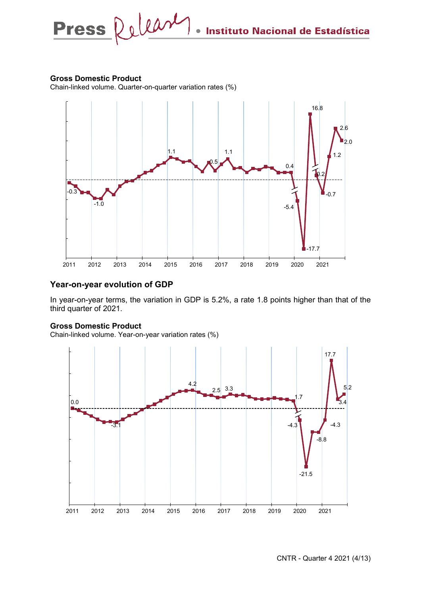# **Gross Domestic Product**

Chain-linked volume. Quarter-on-quarter variation rates (%)



# **Year-on-year evolution of GDP**

In year-on-year terms, the variation in GDP is 5.2%, a rate 1.8 points higher than that of the third quarter of 2021.

## **Gross Domestic Product**

Chain-linked volume. Year-on-year variation rates (%)

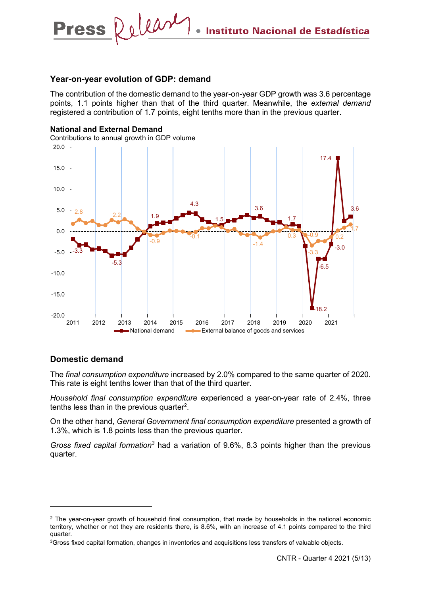### **Year-on-year evolution of GDP: demand**

Press Relear

The contribution of the domestic demand to the year-on-year GDP growth was 3.6 percentage points, 1.1 points higher than that of the third quarter. Meanwhile, the *external demand* registered a contribution of 1.7 points, eight tenths more than in the previous quarter.



# **Domestic demand**

-

The *final consumption expenditure* increased by 2.0% compared to the same quarter of 2020. This rate is eight tenths lower than that of the third quarter.

*Household final consumption expenditure* experienced a year-on-year rate of 2.4%, three tenths less than in the previous quarter<sup>2</sup>.

On the other hand, *General Government final consumption expenditure* presented a growth of 1.3%, which is 1.8 points less than the previous quarter.

*Gross fixed capital formation<sup>3</sup>* had a variation of 9.6%, 8.3 points higher than the previous quarter.

<sup>&</sup>lt;sup>2</sup> The year-on-year growth of household final consumption, that made by households in the national economic territory, whether or not they are residents there, is 8.6%, with an increase of 4.1 points compared to the third quarter.

<sup>&</sup>lt;sup>3</sup>Gross fixed capital formation, changes in inventories and acquisitions less transfers of valuable objects.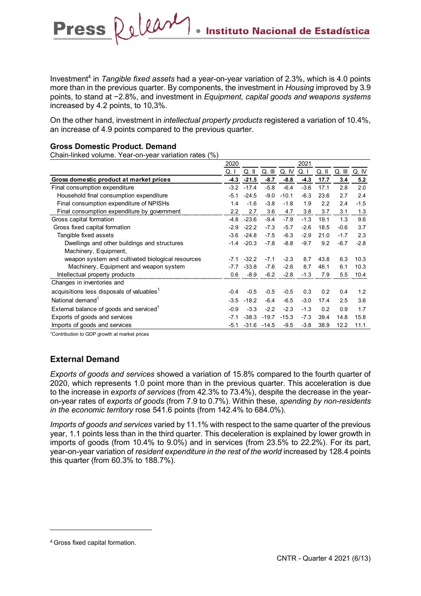Investment4 in *Tangible fixed assets* had a year-on-year variation of 2.3%, which is 4.0 points more than in the previous quarter. By components, the investment in *Housing* improved by 3.9 points, to stand at −2.8%, and investment in *Equipment, capital goods and weapons systems* increased by 4.2 points, to 10,3%.

On the other hand, investment in *intellectual property products* registered a variation of 10.4%, an increase of 4.9 points compared to the previous quarter.

# **Gross Domestic Product. Demand**

**Press** 

Chain-linked volume. Year-on-year variation rates (%)

Release

|                                                       | 2020   |         |         |         | 2021   |       |        |        |
|-------------------------------------------------------|--------|---------|---------|---------|--------|-------|--------|--------|
|                                                       | Q. I   | Q. II   | Q. III  | Q. IV   | Q. I   | Q. II | Q. III | Q. IV  |
| Gross domestic product at market prices               | $-4.3$ | $-21.5$ | $-8.7$  | $-8.8$  | $-4.3$ | 17.7  | 3.4    | 5.2    |
| Final consumption expenditure                         | $-3.2$ | $-17.4$ | $-5.8$  | $-6.4$  | $-3.6$ | 17.1  | 2.8    | 2.0    |
| Household final consumption expenditure               | $-5.1$ | $-24.5$ | $-9.0$  | $-10.1$ | $-6.3$ | 23.6  | 2.7    | 2.4    |
| Final consumption expenditure of NPISHs               | 1.4    | $-1.6$  | $-3.8$  | $-1.8$  | 1.9    | 2.2   | 2.4    | $-1.5$ |
| Final consumption expenditure by government           | 2.2    | 2.7     | 3.6     | 4.7     | 3.8    | 3.7   | 3.1    | 1.3    |
| Gross capital formation                               | $-4.8$ | $-23.6$ | $-9.4$  | $-7.9$  | $-1.3$ | 19.1  | 1.3    | 9.6    |
| Gross fixed capital formation                         | $-2.9$ | $-22.2$ | $-7.3$  | $-5.7$  | $-2.6$ | 18.5  | $-0.6$ | 3.7    |
| Tangible fixed assets                                 | $-3.6$ | $-24.8$ | $-7.5$  | $-6.3$  | $-2.9$ | 21.0  | $-1.7$ | 2.3    |
| Dwellings and other buildings and structures          | $-1.4$ | $-20.3$ | $-7.8$  | $-8.8$  | $-9.7$ | 9.2   | $-6.7$ | $-2.8$ |
| Machinery, Equipment,                                 |        |         |         |         |        |       |        |        |
| weapon system and cultivated biological resources     | -71    | $-32.2$ | $-7.1$  | $-2.3$  | 8.7    | 43.8  | 6.3    | 10.3   |
| Machinery, Equipment and weapon system                | $-7.7$ | $-33.8$ | $-7.6$  | $-2.6$  | 8.7    | 46.1  | 6.1    | 10.3   |
| Intellectual property products                        | 0.6    | $-8.9$  | $-6.2$  | $-2.8$  | $-1.3$ | 7.9   | 5.5    | 10.4   |
| Changes in inventories and                            |        |         |         |         |        |       |        |        |
| acquisitions less disposals of valuables <sup>1</sup> | $-0.4$ | $-0.5$  | $-0.5$  | $-0.5$  | 0.3    | 0.2   | 0.4    | 1.2    |
| National demand <sup>1</sup>                          | $-3.5$ | $-18.2$ | $-6.4$  | $-6.5$  | $-3.0$ | 17.4  | 2.5    | 3.6    |
| External balance of goods and serviced <sup>1</sup>   | $-0.9$ | $-3.3$  | $-2.2$  | $-2.3$  | $-1.3$ | 0.2   | 0.9    | 1.7    |
| Exports of goods and services                         | $-7.1$ | $-38.3$ | $-19.7$ | $-15.3$ | $-7.3$ | 39.4  | 14.8   | 15.8   |
| Imports of goods and services                         | $-5.1$ | $-31.6$ | $-14.5$ | $-9.5$  | $-3.8$ | 38.9  | 12.2   | 11.1   |

<sup>1</sup>Contribution to GDP growth at market prices

# **External Demand**

*Exports of goods and services* showed a variation of 15.8% compared to the fourth quarter of 2020, which represents 1.0 point more than in the previous quarter. This acceleration is due to the increase in *exports of services* (from 42.3% to 73.4%), despite the decrease in the yearon-year rates of *exports of goods* (from 7.9 to 0.7%). Within these, *spending by non-residents in the economic territory* rose 541.6 points (from 142.4% to 684.0%).

*Imports of goods and services* varied by 11.1% with respect to the same quarter of the previous year, 1.1 points less than in the third quarter. This deceleration is explained by lower growth in imports of goods (from 10.4% to 9.0%) and in services (from 23.5% to 22.2%). For its part, year-on-year variation of *resident expenditure in the rest of the world* increased by 128.4 points this quarter (from 60.3% to 188.7%).

-

<sup>4</sup> Gross fixed capital formation.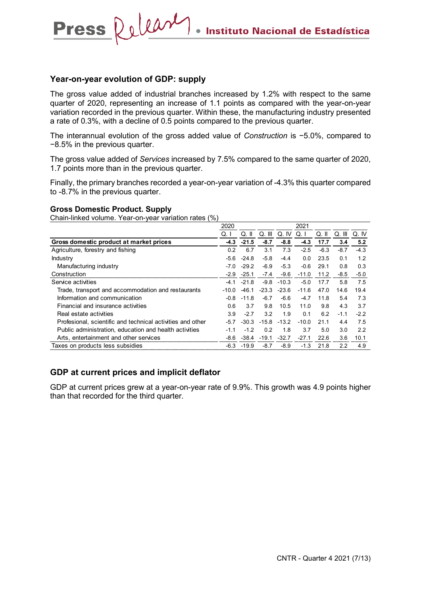# **Year-on-year evolution of GDP: supply**

Press Relear

The gross value added of industrial branches increased by 1.2% with respect to the same quarter of 2020, representing an increase of 1.1 points as compared with the year-on-year variation recorded in the previous quarter. Within these, the manufacturing industry presented a rate of 0.3%, with a decline of 0.5 points compared to the previous quarter.

The interannual evolution of the gross added value of *Construction* is −5.0%, compared to −8.5% in the previous quarter.

The gross value added of *Services* increased by 7.5% compared to the same quarter of 2020, 1.7 points more than in the previous quarter.

Finally, the primary branches recorded a year-on-year variation of -4.3% this quarter compared to -8.7% in the previous quarter.

#### **Gross Domestic Product. Supply**

Chain-linked volume. Year-on-year variation rates (%)

|                                                            | 2020      |               |                 |         | 2021    |         |        |        |
|------------------------------------------------------------|-----------|---------------|-----------------|---------|---------|---------|--------|--------|
|                                                            | Q.I       | Q. II         | Q. III          | Q. IV   | Q.1     | $Q.$ II | Q. III | Q. IV  |
| Gross domestic product at market prices                    | -4.3      | $-21.5$       | $-8.7$          | $-8.8$  | -4.3    | 17.7    | 3.4    | 5.2    |
| Agriculture, forestry and fishing                          | 0.2       | 6.7           | 3.1             | 7.3     | $-2.5$  | $-6.3$  | $-8.7$ | $-4.3$ |
| Industry                                                   | $-5.6$    | $-24.8$       | $-5.8$          | $-4.4$  | 0.0     | 23.5    | 0.1    | 1.2    |
| Manufacturing industry                                     | $-7.0$    | $-29.2$       | $-6.9$          | $-5.3$  | -0.6    | 29.1    | 0.8    | 0.3    |
| Construction                                               | $-2.9$    | $-25.1$       | $-7.4$          | $-9.6$  | $-11.0$ | 11.2    | $-8.5$ | $-5.0$ |
| Service activities                                         | $-4 \; 1$ | $-21.8$       | $-9.8$          | $-10.3$ | $-5.0$  | 177     | 5.8    | 7.5    |
| Trade, transport and accommodation and restaurants         | $-10.0$   | $-46.1$       | $-23.3$         | $-23.6$ | $-11.6$ | 47.0    | 14.6   | 19.4   |
| Information and communication                              |           | $-0.8 - 11.8$ | $-6.7$          | $-6.6$  | $-4.7$  | 11.8    | 5.4    | 7.3    |
| Financial and insurance activities                         | 0.6       | 3.7           | 9.8             | 10.5    | 11.0    | 9.8     | 4.3    | 3.7    |
| Real estate activities                                     | 3.9       | $-2.7$        | 3.2             | 1.9     | 0.1     | 6.2     | $-1.1$ | $-2.2$ |
| Profesional, scientific and technical activities and other | $-5.7$    | $-30.3$       | $-15.8$ $-13.2$ |         | $-10.0$ | 21.1    | 4.4    | 7.5    |
| Public administration, education and health activities     | $-1.1$    | $-1.2$        | 0.2             | 1.8     | 3.7     | 5.0     | 3.0    | 2.2    |
| Arts, entertainment and other services                     | -8.6      | $-38.4$       | $-19.1$         | $-32.7$ | $-27.1$ | 22.6    | 3.6    | 10.1   |
| Taxes on products less subsidies                           | $-6.3$    | $-19.9$       | $-8.7$          | $-8.9$  | $-1.3$  | 21.8    | 2.2    | 4.9    |

# **GDP at current prices and implicit deflator**

GDP at current prices grew at a year-on-year rate of 9.9%. This growth was 4.9 points higher than that recorded for the third quarter.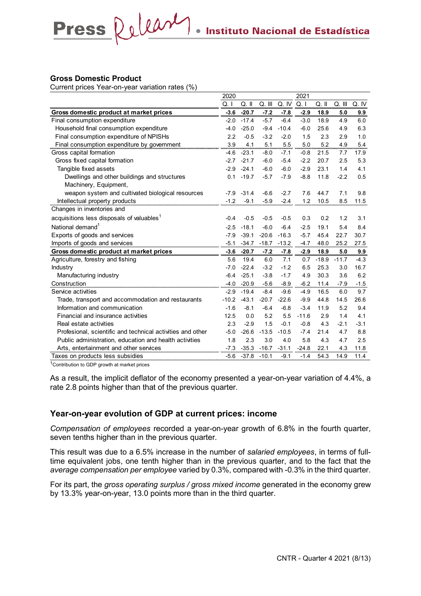## **Gross Domestic Product**

Current prices Year-on-year variation rates (%)

Press Relear

|                                                            | 2020    |               |         |         | 2021    |         |         |        |
|------------------------------------------------------------|---------|---------------|---------|---------|---------|---------|---------|--------|
|                                                            | Q. I    | $Q.$ II       | Q. III  | Q. IV   | Q. 1    | $Q.$ II | Q. III  | Q. IV  |
| Gross domestic product at market prices                    | $-3.6$  | $-20.7$       | $-7.2$  | $-7.8$  | $-2.9$  | 18.9    | 5.0     | 9.9    |
| Final consumption expenditure                              | $-2.0$  | $-17.4$       | $-5.7$  | $-6.4$  | $-3.0$  | 18.9    | 4.9     | 6.0    |
| Household final consumption expenditure                    | $-4.0$  | $-25.0$       | $-9.4$  | $-10.4$ | $-6.0$  | 25.6    | 4.9     | 6.3    |
| Final consumption expenditure of NPISHs                    | 2.2     | $-0.5$        | $-3.2$  | $-2.0$  | 1.5     | 2.3     | 2.9     | 1.0    |
| Final consumption expenditure by government                | 3.9     | 4.1           | 5.1     | 5.5     | 5.0     | 5.2     | 4.9     | 5.4    |
| Gross capital formation                                    | $-4.6$  | $-23.1$       | $-8.0$  | $-7.1$  | $-0.8$  | 21.5    | 7.7     | 17.9   |
| Gross fixed capital formation                              | $-2.7$  | $-21.7$       | $-6.0$  | $-5.4$  | $-2.2$  | 20.7    | 2.5     | 5.3    |
| Tangible fixed assets                                      | $-2.9$  | $-24.1$       | $-6.0$  | $-6.0$  | $-2.9$  | 23.1    | 1.4     | 4.1    |
| Dwellings and other buildings and structures               | 0.1     | $-19.7$       | $-5.7$  | $-7.9$  | $-8.8$  | 11.8    | $-2.2$  | 0.5    |
| Machinery, Equipment,                                      |         |               |         |         |         |         |         |        |
| weapon system and cultivated biological resources          |         | $-7.9 - 31.4$ | $-6.6$  | $-2.7$  | 7.6     | 44.7    | 7.1     | 9.8    |
| Intellectual property products                             | $-1.2$  | $-9.1$        | $-5.9$  | $-2.4$  | 1.2     | 10.5    | 8.5     | 11.5   |
| Changes in inventories and                                 |         |               |         |         |         |         |         |        |
| acquisitions less disposals of valuables <sup>1</sup>      | $-0.4$  | $-0.5$        | $-0.5$  | $-0.5$  | 0.3     | 0.2     | 1.2     | 3.1    |
| National demand <sup>1</sup>                               | $-2.5$  | $-18.1$       | $-6.0$  | $-6.4$  | $-2.5$  | 19.1    | 5.4     | 8.4    |
| Exports of goods and services                              | $-7.9$  | $-39.1$       | $-20.6$ | $-16.3$ | $-5.7$  | 45.4    | 22.7    | 30.7   |
| Imports of goods and services                              | $-5.1$  | $-34.7$       | $-18.7$ | $-13.2$ | $-4.7$  | 48.0    | 25.2    | 27.5   |
| Gross domestic product at market prices                    | $-3.6$  | $-20.7$       | $-7.2$  | $-7.8$  | $-2.9$  | 18.9    | 5.0     | 9.9    |
| Agriculture, forestry and fishing                          | 5.6     | 19.4          | 6.0     | 7.1     | 0.7     | $-18.9$ | $-11.7$ | $-4.3$ |
| Industry                                                   | $-7.0$  | $-22.4$       | $-3.2$  | $-1.2$  | 6.5     | 25.3    | 3.0     | 16.7   |
| Manufacturing industry                                     | $-6.4$  | $-25.1$       | $-3.8$  | $-1.7$  | 4.9     | 30.3    | 3.6     | 6.2    |
| Construction                                               | $-4.0$  | $-20.9$       | $-5.6$  | $-8.9$  | $-6.2$  | 11.4    | $-7.9$  | $-1.5$ |
| Service activities                                         | $-2.9$  | $-19.4$       | $-8.4$  | $-9.6$  | $-4.9$  | 16.5    | 6.0     | 9.7    |
| Trade, transport and accommodation and restaurants         | $-10.2$ | $-43.1$       | $-20.7$ | $-22.6$ | $-9.9$  | 44.8    | 14.5    | 26.6   |
| Information and communication                              | $-1.6$  | $-8.1$        | $-6.4$  | $-6.8$  | $-3.4$  | 11.9    | 5.2     | 9.4    |
| Financial and insurance activities                         | 12.5    | 0.0           | 5.2     | 5.5     | $-11.6$ | 2.9     | 1.4     | 4.1    |
| Real estate activities                                     | 2.3     | $-2.9$        | 1.5     | $-0.1$  | $-0.8$  | 4.3     | $-2.1$  | $-3.1$ |
| Profesional, scientific and technical activities and other | $-5.0$  | $-26.6$       | $-13.5$ | $-10.5$ | $-7.4$  | 21.4    | 4.7     | 8.8    |
| Public administration, education and health activities     | 1.8     | 2.3           | 3.0     | 4.0     | 5.8     | 4.3     | 4.7     | 2.5    |
| Arts, entertainment and other services                     | $-7.3$  | $-35.3$       | $-16.7$ | $-31.1$ | $-24.8$ | 22.1    | 4.3     | 11.8   |
| Taxes on products less subsidies                           | -5.6    | $-37.8$       | $-10.1$ | $-9.1$  | $-1.4$  | 54.3    | 14.9    | 11.4   |

<sup>1</sup>Contribution to GDP growth at market prices

As a result, the implicit deflator of the economy presented a year-on-year variation of 4.4%, a rate 2.8 points higher than that of the previous quarter.

# **Year-on-year evolution of GDP at current prices: income**

*Compensation of employees* recorded a year-on-year growth of 6.8% in the fourth quarter, seven tenths higher than in the previous quarter.

This result was due to a 6.5% increase in the number of *salaried employees*, in terms of fulltime equivalent jobs, one tenth higher than in the previous quarter, and to the fact that the *average compensation per employee* varied by 0.3%, compared with -0.3% in the third quarter.

For its part, the *gross operating surplus / gross mixed income* generated in the economy grew by 13.3% year-on-year, 13.0 points more than in the third quarter.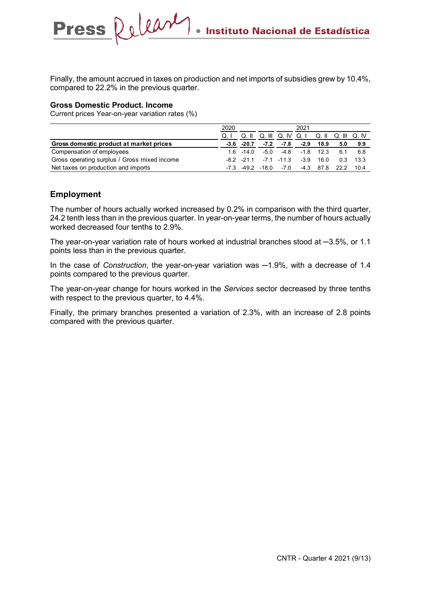Finally, the amount accrued in taxes on production and net imports of subsidies grew by 10.4%, compared to 22.2% in the previous quarter.

#### **Gross Domestic Product. Income**

Current prices Year-on-year variation rates (%)

Press Release

|                                              | 2020           |          |        |                | 2021                          |      |      |        |
|----------------------------------------------|----------------|----------|--------|----------------|-------------------------------|------|------|--------|
|                                              | Q <sub>1</sub> | $Q.$ II  | Q. III |                | Q. IV Q. I Q. II Q. III Q. IV |      |      |        |
| Gross domestic product at market prices      | -3.6           | $-20.7$  | $-7.2$ | $-7.8$         | -2.9                          | 18.9 | 5.0  | 9.9    |
| Compensation of employees                    | 16.            | -14 0    | $-50$  | -4.8           | $-1.8$                        | 12.3 | 6.1  | 6.8    |
| Gross operating surplus / Gross mixed income |                | -82 -211 |        | $-7.1$ $-11.3$ | $-3.9$                        | 16.0 | 0.3  | - 13.3 |
| Net taxes on production and imports          |                | -49.2    | -18.0  | -70            | $-4.3$                        | 878  | 22.2 | 104    |

# **Employment**

The number of hours actually worked increased by 0.2% in comparison with the third quarter, 24.2 tenth less than in the previous quarter. In year-on-year terms, the number of hours actually worked decreased four tenths to 2.9%.

The year-on-year variation rate of hours worked at industrial branches stood at ─3.5%, or 1.1 points less than in the previous quarter.

In the case of *Construction*, the year-on-year variation was  $-1.9\%$ , with a decrease of 1.4 points compared to the previous quarter.

The year-on-year change for hours worked in the *Services* sector decreased by three tenths with respect to the previous quarter, to 4.4%.

Finally, the primary branches presented a variation of 2.3%, with an increase of 2.8 points compared with the previous quarter.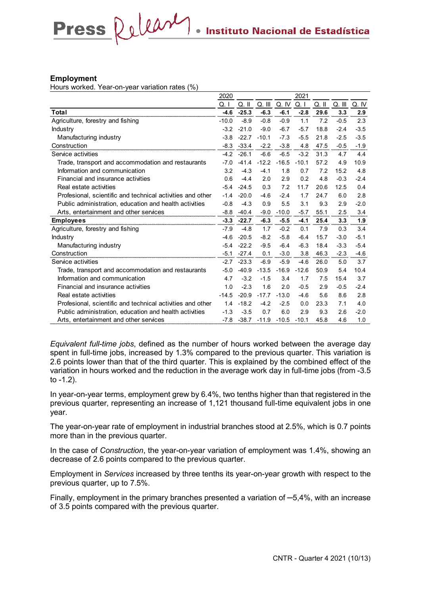#### **Employment**

Hours worked. Year-on-year variation rates (%)

Press Release

|                                                            | 2020    |         |         |         | 2021    |         |            |        |
|------------------------------------------------------------|---------|---------|---------|---------|---------|---------|------------|--------|
|                                                            | Q. I    | $Q.$ II | Q. III  | Q. IV   | Q. I    | $Q.$ II | $Q.$ $III$ | Q. IV  |
| Total                                                      | $-4.6$  | $-25.3$ | $-6.3$  | $-6.1$  | $-2.8$  | 29.6    | 3.3        | 2.9    |
| Agriculture, forestry and fishing                          | $-10.0$ | $-8.9$  | $-0.8$  | $-0.9$  | 1.1     | 7.2     | $-0.5$     | 2.3    |
| Industry                                                   | $-3.2$  | $-21.0$ | $-9.0$  | $-6.7$  | $-5.7$  | 18.8    | $-2.4$     | $-3.5$ |
| Manufacturing industry                                     | $-3.8$  | $-22.7$ | $-10.1$ | $-7.3$  | $-5.5$  | 21.8    | $-2.5$     | $-3.5$ |
| Construction                                               | $-8.3$  | $-33.4$ | $-2.2$  | $-3.8$  | 4.8     | 47.5    | $-0.5$     | $-1.9$ |
| Service activities                                         | $-4.2$  | $-26.1$ | $-6.6$  | $-6.5$  | $-3.2$  | 31.3    | 4.7        | 4.4    |
| Trade, transport and accommodation and restaurants         | $-7.0$  | $-41.4$ | $-12.2$ | $-16.5$ | $-10.1$ | 57.2    | 4.9        | 10.9   |
| Information and communication                              | 3.2     | $-4.3$  | $-4.1$  | 1.8     | 0.7     | 7.2     | 15.2       | 4.8    |
| Financial and insurance activities                         | 0.6     | $-4.4$  | 2.0     | 2.9     | 0.2     | 4.8     | $-0.3$     | $-2.4$ |
| Real estate activities                                     | $-5.4$  | $-24.5$ | 0.3     | 7.2     | 11.7    | 20.6    | 12.5       | 0.4    |
| Profesional, scientific and technical activities and other | $-1.4$  | $-20.0$ | $-4.6$  | $-2.4$  | 1.7     | 24.7    | 6.0        | 2.8    |
| Public administration, education and health activities     | $-0.8$  | $-4.3$  | 0.9     | 5.5     | 3.1     | 9.3     | 2.9        | $-2.0$ |
| Arts, entertainment and other services                     | $-8.8$  | $-40.4$ | $-9.0$  | $-10.0$ | $-5.7$  | 55.1    | 2.5        | 3.4    |
| <b>Employees</b>                                           | $-3.3$  | $-22.7$ | $-6.3$  | $-5.5$  | $-4.1$  | 25.4    | 3.3        | 1.9    |
| Agriculture, forestry and fishing                          | $-7.9$  | $-4.8$  | 1.7     | $-0.2$  | 0.1     | 7.9     | 0.3        | 3.4    |
| Industry                                                   | $-4.6$  | $-20.5$ | $-8.2$  | $-5.8$  | $-6.4$  | 15.7    | $-3.0$     | $-5.1$ |
| Manufacturing industry                                     | $-5.4$  | $-22.2$ | $-9.5$  | $-6.4$  | $-6.3$  | 18.4    | $-3.3$     | $-5.4$ |
| Construction                                               | $-5.1$  | $-27.4$ | 0.1     | $-3.0$  | 3.8     | 46.3    | $-2.3$     | $-4.6$ |
| Service activities                                         | $-2.7$  | $-23.3$ | $-6.9$  | $-5.9$  | $-4.6$  | 26.0    | 5.0        | 3.7    |
| Trade, transport and accommodation and restaurants         | $-5.0$  | $-40.9$ | $-13.5$ | $-16.9$ | $-12.6$ | 50.9    | 5.4        | 10.4   |
| Information and communication                              | 4.7     | $-3.2$  | $-1.5$  | 3.4     | 1.7     | 7.5     | 15.4       | 3.7    |
| Financial and insurance activities                         | 1.0     | $-2.3$  | 1.6     | 2.0     | $-0.5$  | 2.9     | $-0.5$     | $-2.4$ |
| Real estate activities                                     | $-14.5$ | $-20.9$ | $-17.7$ | $-13.0$ | $-4.6$  | 5.6     | 8.6        | 2.8    |
| Profesional, scientific and technical activities and other | 1.4     | $-18.2$ | $-4.2$  | $-2.5$  | 0.0     | 23.3    | 7.1        | 4.0    |
| Public administration, education and health activities     | $-1.3$  | $-3.5$  | 0.7     | 6.0     | 2.9     | 9.3     | 2.6        | $-2.0$ |
| Arts, entertainment and other services                     | $-7.8$  | $-38.7$ | $-11.9$ | $-10.5$ | $-10.1$ | 45.8    | 4.6        | 1.0    |

*Equivalent full-time jobs*, defined as the number of hours worked between the average day spent in full-time jobs, increased by 1.3% compared to the previous quarter. This variation is 2.6 points lower than that of the third quarter. This is explained by the combined effect of the variation in hours worked and the reduction in the average work day in full-time jobs (from -3.5 to -1.2).

In year-on-year terms, employment grew by 6.4%, two tenths higher than that registered in the previous quarter, representing an increase of 1,121 thousand full-time equivalent jobs in one year.

The year-on-year rate of employment in industrial branches stood at 2.5%, which is 0.7 points more than in the previous quarter.

In the case of *Construction*, the year-on-year variation of employment was 1.4%, showing an decrease of 2.6 points compared to the previous quarter.

Employment in *Services* increased by three tenths its year-on-year growth with respect to the previous quarter, up to 7.5%.

Finally, employment in the primary branches presented a variation of ─5,4%, with an increase of 3.5 points compared with the previous quarter.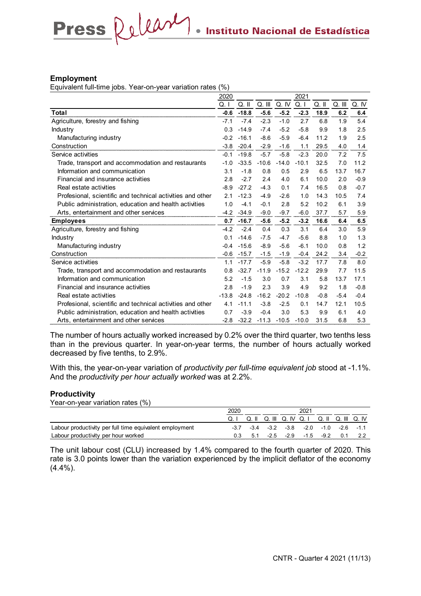#### **Employment**

Equivalent full-time jobs. Year-on-year variation rates (%)

Press Release

|                                                            | 2020    |         |         |         | 2021    |        |        |        |
|------------------------------------------------------------|---------|---------|---------|---------|---------|--------|--------|--------|
|                                                            | Q. I    | Q. II   | Q. III  | Q. IV   | Q. I    | Q. II  | Q. III | Q. IV  |
| <b>Total</b>                                               | $-0.6$  | $-18.8$ | $-5.6$  | $-5.2$  | $-2.3$  | 18.9   | 6.2    | 6.4    |
| Agriculture, forestry and fishing                          | $-7.1$  | $-7.4$  | $-2.3$  | $-1.0$  | 2.7     | 6.8    | 1.9    | 5.4    |
| Industry                                                   | 0.3     | $-14.9$ | $-7.4$  | $-5.2$  | $-5.8$  | 9.9    | 1.8    | 2.5    |
| Manufacturing industry                                     | $-0.2$  | $-16.1$ | $-8.6$  | $-5.9$  | $-6.4$  | 11.2   | 1.9    | 2.5    |
| Construction                                               | $-3.8$  | $-20.4$ | $-2.9$  | $-1.6$  | 1.1     | 29.5   | 4.0    | 1.4    |
| Service activities                                         | $-0.1$  | $-19.8$ | $-5.7$  | $-5.8$  | $-2.3$  | 20.0   | 7.2    | 7.5    |
| Trade, transport and accommodation and restaurants         | $-1.0$  | $-33.5$ | $-10.6$ | $-14.0$ | $-10.1$ | 32.5   | 7.0    | 11.2   |
| Information and communication                              | 3.1     | $-1.8$  | 0.8     | 0.5     | 2.9     | 6.5    | 13.7   | 16.7   |
| Financial and insurance activities                         | 2.8     | $-2.7$  | 2.4     | 4.0     | 6.1     | 10.0   | 2.0    | $-0.9$ |
| Real estate activities                                     | $-8.9$  | $-27.2$ | $-4.3$  | 0.1     | 7.4     | 16.5   | 0.8    | $-0.7$ |
| Profesional, scientific and technical activities and other | 2.1     | $-12.3$ | $-4.9$  | $-2.6$  | 1.0     | 14.3   | 10.5   | 7.4    |
| Public administration, education and health activities     | 1.0     | $-4.1$  | $-0.1$  | 2.8     | 5.2     | 10.2   | 6.1    | 3.9    |
| Arts, entertainment and other services                     | $-4.2$  | $-34.9$ | $-9.0$  | $-9.7$  | $-6.0$  | 37.7   | 5.7    | 5.9    |
| <b>Employees</b>                                           | 0.7     | $-16.7$ | $-5.6$  | $-5.2$  | $-3.2$  | 16.6   | 6.4    | 6.5    |
| Agriculture, forestry and fishing                          | $-4.2$  | $-2.4$  | 0.4     | 0.3     | 3.1     | 6.4    | 3.0    | 5.9    |
| Industry                                                   | 0.1     | $-14.6$ | $-7.5$  | $-4.7$  | $-5.6$  | 8.8    | 1.0    | 1.3    |
| Manufacturing industry                                     | $-0.4$  | $-15.6$ | $-8.9$  | $-5.6$  | $-6.1$  | 10.0   | 0.8    | 1.2    |
| Construction                                               | $-0.6$  | $-15.7$ | $-1.5$  | $-1.9$  | $-0.4$  | 24.2   | 3.4    | $-0.2$ |
| Service activities                                         | 1.1     | $-17.7$ | $-5.9$  | $-5.8$  | $-3.2$  | 17.7   | 7.8    | 8.0    |
| Trade, transport and accommodation and restaurants         | 0.8     | $-32.7$ | $-11.9$ | $-15.2$ | $-12.2$ | 29.9   | 7.7    | 11.5   |
| Information and communication                              | 5.2     | $-1.5$  | 3.0     | 0.7     | 3.1     | 5.8    | 13.7   | 17.1   |
| Financial and insurance activities                         | 2.8     | $-1.9$  | 2.3     | 3.9     | 4.9     | 9.2    | 1.8    | $-0.8$ |
| Real estate activities                                     | $-13.8$ | $-24.8$ | $-16.2$ | $-20.2$ | $-10.8$ | $-0.8$ | $-5.4$ | $-0.4$ |
| Profesional, scientific and technical activities and other | 4.1     | $-11.1$ | $-3.8$  | $-2.5$  | 0.1     | 14.7   | 12.1   | 10.5   |
| Public administration, education and health activities     | 0.7     | $-3.9$  | $-0.4$  | 3.0     | 5.3     | 9.9    | 6.1    | 4.0    |
| Arts, entertainment and other services                     | $-2.8$  | $-32.2$ | $-11.3$ | $-10.5$ | $-10.0$ | 31.5   | 6.8    | 5.3    |

The number of hours actually worked increased by 0.2% over the third quarter, two tenths less than in the previous quarter. In year-on-year terms, the number of hours actually worked decreased by five tenths, to 2.9%.

With this, the year-on-year variation of *productivity per full-time equivalent job* stood at -1.1%. And the *productivity per hour actually worked* was at 2.2%.

#### **Productivity**

Year-on-year variation rates (%)

|                                                         | 2020 |       |        |                |             |                     |  |
|---------------------------------------------------------|------|-------|--------|----------------|-------------|---------------------|--|
|                                                         |      | Q. II |        | Q III Q IV Q I | Q. II       | Q. III Q. IV        |  |
| Labour productivity per full time equivalent employment | -37  | $-34$ |        | $-3.2$ $-3.8$  |             | -2.0 -1.0 -2.6 -1.1 |  |
| Labour productivity per hour worked                     |      | 51    | $-2.5$ | $-29$          | $-15 - -92$ |                     |  |

The unit labour cost (CLU) increased by 1.4% compared to the fourth quarter of 2020. This rate is 3.0 points lower than the variation experienced by the implicit deflator of the economy (4.4%).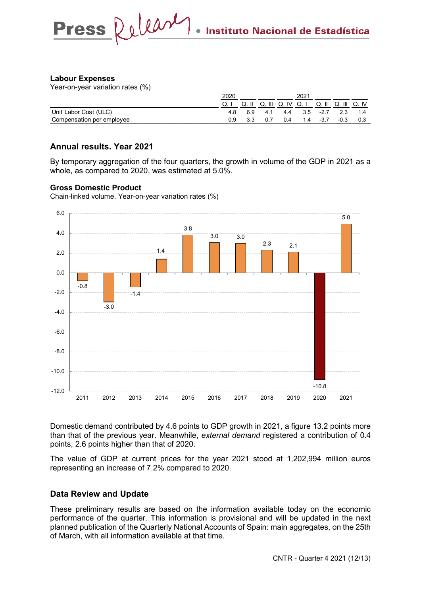# **Labour Expenses**

Year-on-year variation rates (%)

|                                           | ີ. | Ш<br>u | ιv<br>w | w.    | w               |      |     |
|-------------------------------------------|----|--------|---------|-------|-----------------|------|-----|
| Init<br>™et<br>ahor.<br>◡◡<br><b>UUSL</b> |    | 4. .   | 4.4     | אי    | -21<br><u>.</u> |      |     |
| ≅emplo<br>per<br>/ee<br>ation             |    |        |         | . . 4 |                 | -u.J | 0.3 |

# **Annual results. Year 2021**

By temporary aggregation of the four quarters, the growth in volume of the GDP in 2021 as a whole, as compared to 2020, was estimated at 5.0%.

# **Gross Domestic Product**

Chain-linked volume. Year-on-year variation rates (%)



Domestic demand contributed by 4.6 points to GDP growth in 2021, a figure 13.2 points more than that of the previous year. Meanwhile, *external demand* registered a contribution of 0.4 points, 2.6 points higher than that of 2020.

The value of GDP at current prices for the year 2021 stood at 1,202,994 million euros representing an increase of 7.2% compared to 2020.

# **Data Review and Update**

These preliminary results are based on the information available today on the economic performance of the quarter. This information is provisional and will be updated in the next planned publication of the Quarterly National Accounts of Spain: main aggregates, on the 25th of March, with all information available at that time.